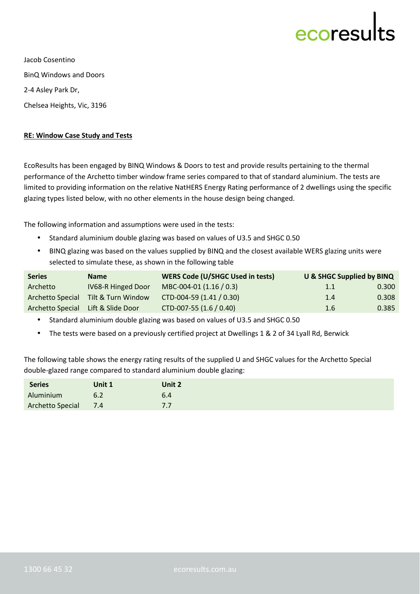## ecoresu

Jacob Cosentino BinQ Windows and Doors 2-4 Asley Park Dr, Chelsea Heights, Vic, 3196

## **RE: Window Case Study and Tests**

EcoResults has been engaged by BINQ Windows & Doors to test and provide results pertaining to the thermal performance of the Archetto timber window frame series compared to that of standard aluminium. The tests are limited to providing information on the relative NatHERS Energy Rating performance of 2 dwellings using the specific glazing types listed below, with no other elements in the house design being changed.

The following information and assumptions were used in the tests:

- Standard aluminium double glazing was based on values of U3.5 and SHGC 0.50
- BINQ glazing was based on the values supplied by BINQ and the closest available WERS glazing units were selected to simulate these, as shown in the following table

| <b>Series</b>                      | <b>Name</b>               | <b>WERS Code (U/SHGC Used in tests)</b> | <b>U &amp; SHGC Supplied by BINQ</b> |       |
|------------------------------------|---------------------------|-----------------------------------------|--------------------------------------|-------|
| Archetto                           | <b>IV68-R Hinged Door</b> | MBC-004-01 (1.16 / 0.3)                 | 1.1                                  | 0.300 |
| Archetto Special                   | Tilt & Turn Window        | CTD-004-59 (1.41 / 0.30)                | 1.4                                  | 0.308 |
| Archetto Special Lift & Slide Door |                           | CTD-007-55 (1.6 / 0.40)                 | 1.6                                  | 0.385 |

• Standard aluminium double glazing was based on values of U3.5 and SHGC 0.50

The tests were based on a previously certified project at Dwellings 1 & 2 of 34 Lyall Rd, Berwick

The following table shows the energy rating results of the supplied U and SHGC values for the Archetto Special double-glazed range compared to standard aluminium double glazing:

| <b>Series</b>        | Unit 1 | Unit 2    |
|----------------------|--------|-----------|
| Aluminium            | 6.2    | 6.4       |
| Archetto Special 7.4 |        | 77<br>,,, |